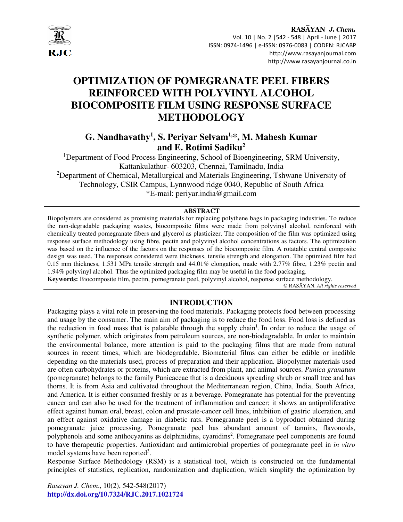

# **OPTIMIZATION OF POMEGRANATE PEEL FIBERS REINFORCED WITH POLYVINYL ALCOHOL BIOCOMPOSITE FILM USING RESPONSE SURFACE METHODOLOGY**

## **G. Nandhavathy<sup>1</sup> , S. Periyar Selvam1,\*, M. Mahesh Kumar and E. Rotimi Sadiku<sup>2</sup>**

<sup>1</sup>Department of Food Process Engineering, School of Bioengineering, SRM University, Kattankulathur- 603203, Chennai, Tamilnadu, India <sup>2</sup>Department of Chemical, Metallurgical and Materials Engineering, Tshwane University of Technology, CSIR Campus, Lynnwood ridge 0040, Republic of South Africa \*E-mail: periyar.india@gmail.com

#### **ABSTRACT**

Biopolymers are considered as promising materials for replacing polythene bags in packaging industries. To reduce the non-degradable packaging wastes, biocomposite films were made from polyvinyl alcohol, reinforced with chemically treated pomegranate fibers and glycerol as plasticizer. The composition of the film was optimized using response surface methodology using fibre, pectin and polyvinyl alcohol concentrations as factors. The optimization was based on the influence of the factors on the responses of the biocomposite film. A rotatable central composite design was used. The responses considered were thickness, tensile strength and elongation. The optimized film had 0.15 mm thickness, 1.531 MPa tensile strength and 44.01% elongation, made with 2.77% fibre, 1.23% pectin and 1.94% polyvinyl alcohol. Thus the optimized packaging film may be useful in the food packaging.

**Keywords:** Biocomposite film, pectin, pomegranate peel, polyvinyl alcohol, response surface methodology*.*  © RASĀYAN. *All rights reserved*

## **INTRODUCTION**

Packaging plays a vital role in preserving the food materials. Packaging protects food between processing and usage by the consumer. The main aim of packaging is to reduce the food loss. Food loss is defined as the reduction in food mass that is palatable through the supply chain<sup>1</sup>. In order to reduce the usage of synthetic polymer, which originates from petroleum sources, are non-biodegradable. In order to maintain the environmental balance, more attention is paid to the packaging films that are made from natural sources in recent times, which are biodegradable. Biomaterial films can either be edible or inedible depending on the materials used, process of preparation and their application. Biopolymer materials used are often carbohydrates or proteins, which are extracted from plant, and animal sources. *Punica granatum*  (pomegranate) belongs to the family Punicaceae that is a deciduous spreading shrub or small tree and has thorns. It is from Asia and cultivated throughout the Mediterranean region, China, India, South Africa, and America. It is either consumed freshly or as a beverage. Pomegranate has potential for the preventing cancer and can also be used for the treatment of inflammation and cancer; it shows an antiproliferative effect against human oral, breast, colon and prostate-cancer cell lines, inhibition of gastric ulceration, and an effect against oxidative damage in diabetic rats. Pomegranate peel is a byproduct obtained during pomegranate juice processing. Pomegranate peel has abundant amount of tannins, flavonoids, polyphenols and some anthocyanins as delphinidins, cyanidins<sup>2</sup>. Pomegranate peel components are found to have therapeutic properties. Antioxidant and antimicrobial properties of pomegranate peel in *in vitro* model systems have been reported<sup>3</sup>.

Response Surface Methodology (RSM) is a statistical tool, which is constructed on the fundamental principles of statistics, replication, randomization and duplication, which simplify the optimization by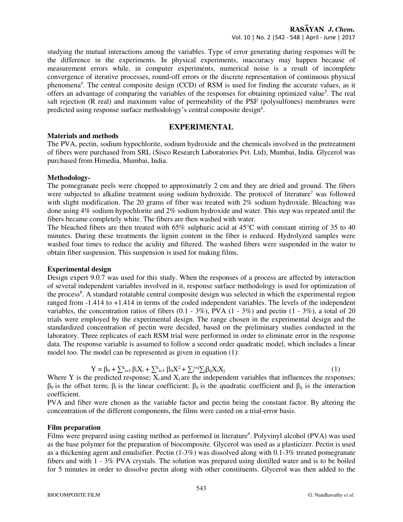studying the mutual interactions among the variables. Type of error generating during responses will be the difference in the experiments. In physical experiments, inaccuracy may happen because of measurement errors while, in computer experiments, numerical noise is a result of incomplete convergence of iterative processes, round-off errors or the discrete representation of continuous physical phenomena<sup>4</sup>. The central composite design (CCD) of RSM is used for finding the accurate values, as it offers an advantage of comparing the variables of the responses for obtaining optimized value<sup>5</sup>. The real salt rejection (R real) and maximum value of permeability of the PSF (polysulfones) membranes were predicted using response surface methodology's central composite design<sup>6</sup>.

### **EXPERIMENTAL**

#### **Materials and methods**

The PVA, pectin, sodium hypochlorite, sodium hydroxide and the chemicals involved in the pretreatment of fibers were purchased from SRL (Sisco Research Laboratories Pvt. Ltd), Mumbai, India. Glycerol was purchased from Himedia, Mumbai, India.

#### **Methodology-**

The pomegranate peels were chopped to approximately 2 cm and they are dried and ground. The fibers were subjected to alkaline treatment using sodium hydroxide. The protocol of literature<sup>7</sup> was followed with slight modification. The 20 grams of fiber was treated with 2% sodium hydroxide. Bleaching was done using 4% sodium hypochlorite and 2% sodium hydroxide and water. This step was repeated until the fibers became completely white. The fibers are then washed with water.

The bleached fibers are then treated with 65% sulphuric acid at 45°C with constant stirring of 35 to 40 minutes. During these treatments the lignin content in the fiber is reduced. Hydrolyzed samples were washed four times to reduce the acidity and filtered. The washed fibers were suspended in the water to obtain fiber suspension. This suspension is used for making films.

#### **Experimental design**

Design expert 9.0.7 was used for this study. When the responses of a process are affected by interaction of several independent variables involved in it, response surface methodology is used for optimization of the process<sup>8</sup>. A standard rotatable central composite design was selected in which the experimental region ranged from -1.414 to +1.414 in terms of the coded independent variables. The levels of the independent variables, the concentration ratios of fibers  $(0.1 - 3\%)$ , PVA  $(1 - 3\%)$  and pectin  $(1 - 3\%)$ , a total of 20 trials were employed by the experimental design. The range chosen in the experimental design and the standardized concentration of pectin were decided, based on the preliminary studies conducted in the laboratory. Three replicates of each RSM trial were performed in order to eliminate error in the response data. The response variable is assumed to follow a second order quadratic model, which includes a linear model too. The model can be represented as given in equation (1):

$$
Y = \beta_0 + \sum_{i=1}^k \beta_i X_i + \sum_{i=1}^k \beta_{ii} X^2 + \sum_{i}^i \langle \sum_j \beta_{ij} X_i X_j \rangle
$$
 (1)

Where Y is the predicted response;  $X_i$  and  $X_j$  are the independent variables that influences the responses;  $β_0$  is the offset term;  $β_i$  is the linear coefficient;  $β_{ii}$  is the quadratic coefficient and  $β_{ii}$  is the interaction coefficient.

PVA and fiber were chosen as the variable factor and pectin being the constant factor. By altering the concentration of the different components, the films were casted on a trial-error basis.

#### **Film preparation**

Films were prepared using casting method as performed in literature<sup>9</sup>. Polyvinyl alcohol (PVA) was used as the base polymer for the preparation of biocomposite. Glycerol was used as a plasticizer. Pectin is used as a thickening agent and emulsifier. Pectin (1-3%) was dissolved along with 0.1-3% treated pomegranate fibers and with 1 - 3% PVA crystals. The solution was prepared using distilled water and is to be boiled for 5 minutes in order to dissolve pectin along with other constituents. Glycerol was then added to the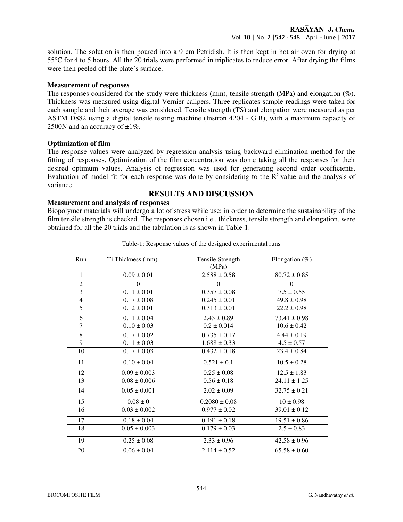solution. The solution is then poured into a 9 cm Petridish. It is then kept in hot air oven for drying at 55°C for 4 to 5 hours. All the 20 trials were performed in triplicates to reduce error. After drying the films were then peeled off the plate's surface.

#### **Measurement of responses**

The responses considered for the study were thickness (mm), tensile strength (MPa) and elongation (%). Thickness was measured using digital Vernier calipers. Three replicates sample readings were taken for each sample and their average was considered. Tensile strength (TS) and elongation were measured as per ASTM D882 using a digital tensile testing machine (Instron 4204 - G.B), with a maximum capacity of 2500N and an accuracy of  $\pm 1\%$ .

#### **Optimization of film**

The response values were analyzed by regression analysis using backward elimination method for the fitting of responses. Optimization of the film concentration was dome taking all the responses for their desired optimum values. Analysis of regression was used for generating second order coefficients. Evaluation of model fit for each response was done by considering to the  $R<sup>2</sup>$  value and the analysis of variance.

## **RESULTS AND DISCUSSION**

#### **Measurement and analysis of responses**

Biopolymer materials will undergo a lot of stress while use; in order to determine the sustainability of the film tensile strength is checked. The responses chosen i.e., thickness, tensile strength and elongation, were obtained for all the 20 trials and the tabulation is as shown in Table-1.

| Run            | Ti Thickness (mm) | Tensile Strength<br>(MPa) | Elongation $(\%)$ |  |
|----------------|-------------------|---------------------------|-------------------|--|
| 1              | $0.09 \pm 0.01$   | $2.588 \pm 0.58$          | $80.72 \pm 0.85$  |  |
|                |                   |                           |                   |  |
| 2              | $\theta$          | $\Omega$                  | $\Omega$          |  |
| 3              | $0.11 \pm 0.01$   | $0.357 \pm 0.08$          | $7.5 \pm 0.55$    |  |
| $\overline{4}$ | $0.17 \pm 0.08$   | $0.245 \pm 0.01$          | $49.8 \pm 0.98$   |  |
| $\overline{5}$ | $0.12 \pm 0.01$   | $0.313 \pm 0.01$          | $22.2 \pm 0.98$   |  |
| 6              | $0.11 \pm 0.04$   | $2.43 \pm 0.89$           | $73.41 \pm 0.98$  |  |
| $\overline{7}$ | $0.10 \pm 0.03$   | $0.2 \pm 0.014$           | $10.6 \pm 0.42$   |  |
| $\overline{8}$ | $0.17 \pm 0.02$   | $0.735 \pm 0.17$          | $4.44 \pm 0.19$   |  |
| 9              | $0.11 \pm 0.03$   | $1.688 \pm 0.33$          | $4.5 \pm 0.57$    |  |
| 10             | $0.17 \pm 0.03$   | $0.432 \pm 0.18$          | $23.4 \pm 0.84$   |  |
| 11             | $0.10 \pm 0.04$   | $0.521 \pm 0.1$           | $10.5 \pm 0.28$   |  |
| 12             | $0.09 \pm 0.003$  | $0.25 \pm 0.08$           | $12.5 \pm 1.83$   |  |
| 13             | $0.08 \pm 0.006$  | $0.56 \pm 0.18$           | $24.11 \pm 1.25$  |  |
| 14             | $0.05 \pm 0.001$  | $2.02 \pm 0.09$           | $32.75 \pm 0.21$  |  |
| 15             | $0.08 \pm 0$      | $0.2080 \pm 0.08$         | $10 \pm 0.98$     |  |
| 16             | $0.03 \pm 0.002$  | $0.977 \pm 0.02$          | $39.01 \pm 0.12$  |  |
| 17             | $0.18 \pm 0.04$   | $0.491 \pm 0.18$          | $19.51 \pm 0.86$  |  |
| 18             | $0.05 \pm 0.003$  | $0.179 \pm 0.03$          | $2.5 \pm 0.83$    |  |
| 19             | $0.25 \pm 0.08$   | $2.33 \pm 0.96$           | $42.58 \pm 0.96$  |  |
| 20             | $0.06 \pm 0.04$   | $2.414 \pm 0.52$          | $65.58 \pm 0.60$  |  |

#### Table-1: Response values of the designed experimental runs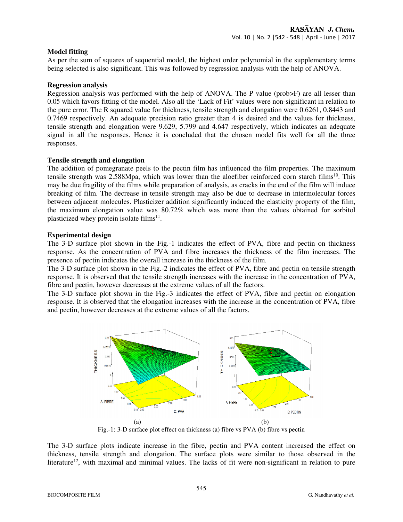#### **Model fitting**

As per the sum of squares of sequential model, the highest order polynomial in the supplementary terms being selected is also significant. This was followed by regression analysis with the help of ANOVA.

#### **Regression analysis**

Regression analysis was performed with the help of ANOVA. The P value (prob>F) are all lesser than 0.05 which favors fitting of the model. Also all the 'Lack of Fit' values were non-significant in relation to the pure error. The R squared value for thickness, tensile strength and elongation were 0.6261, 0.8443 and 0.7469 respectively. An adequate precision ratio greater than 4 is desired and the values for thickness, tensile strength and elongation were 9.629, 5.799 and 4.647 respectively, which indicates an adequate signal in all the responses. Hence it is concluded that the chosen model fits well for all the three responses.

#### **Tensile strength and elongation**

The addition of pomegranate peels to the pectin film has influenced the film properties. The maximum tensile strength was  $2.588Mpa$ , which was lower than the aloefiber reinforced corn starch films<sup>10</sup>. This may be due fragility of the films while preparation of analysis, as cracks in the end of the film will induce breaking of film. The decrease in tensile strength may also be due to decrease in intermolecular forces between adjacent molecules. Plasticizer addition significantly induced the elasticity property of the film, the maximum elongation value was 80.72% which was more than the values obtained for sorbitol plasticized whey protein isolate films $^{11}$ .

#### **Experimental design**

The 3-D surface plot shown in the Fig.-1 indicates the effect of PVA, fibre and pectin on thickness response. As the concentration of PVA and fibre increases the thickness of the film increases. The presence of pectin indicates the overall increase in the thickness of the film.

The 3-D surface plot shown in the Fig.-2 indicates the effect of PVA, fibre and pectin on tensile strength response. It is observed that the tensile strength increases with the increase in the concentration of PVA, fibre and pectin, however decreases at the extreme values of all the factors.

The 3-D surface plot shown in the Fig.-3 indicates the effect of PVA, fibre and pectin on elongation response. It is observed that the elongation increases with the increase in the concentration of PVA, fibre and pectin, however decreases at the extreme values of all the factors.



Fig.-1: 3-D surface plot effect on thickness (a) fibre vs PVA (b) fibre vs pectin

The 3-D surface plots indicate increase in the fibre, pectin and PVA content increased the effect on thickness, tensile strength and elongation. The surface plots were similar to those observed in the literature<sup>12</sup>, with maximal and minimal values. The lacks of fit were non-significant in relation to pure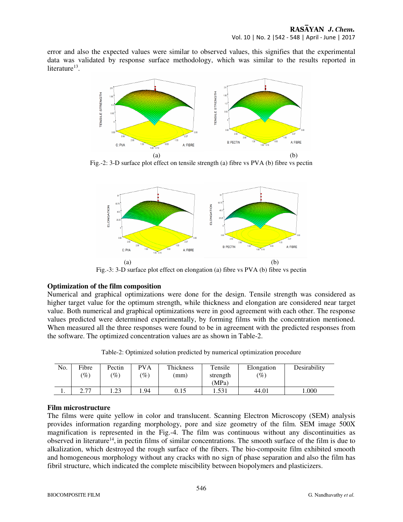error and also the expected values were similar to observed values, this signifies that the experimental data was validated by response surface methodology, which was similar to the results reported in literature<sup>13</sup>.



Fig.-2: 3-D surface plot effect on tensile strength (a) fibre vs PVA (b) fibre vs pectin



Fig.-3: 3-D surface plot effect on elongation (a) fibre vs PVA (b) fibre vs pectin

## **Optimization of the film composition**

Numerical and graphical optimizations were done for the design. Tensile strength was considered as higher target value for the optimum strength, while thickness and elongation are considered near target value. Both numerical and graphical optimizations were in good agreement with each other. The response values predicted were determined experimentally, by forming films with the concentration mentioned. When measured all the three responses were found to be in agreement with the predicted responses from the software. The optimized concentration values are as shown in Table-2.

| Table-2: Optimized solution predicted by numerical optimization procedure |  |  |  |  |
|---------------------------------------------------------------------------|--|--|--|--|
|---------------------------------------------------------------------------|--|--|--|--|

| No. | Fibre<br>$\mathscr{C}_o$ | Pectin<br>$\%$           | <b>PVA</b><br>'%) | Thickness<br>(mm) | Tensile<br>strength<br>(MPa | Elongation<br>$\mathscr{C}_0$ | Desirability |
|-----|--------------------------|--------------------------|-------------------|-------------------|-----------------------------|-------------------------------|--------------|
|     | 77                       | 2 <sup>2</sup><br>ل که ۱ | 1.94              | 0.15              | 1.531                       | 44.01                         | .000         |

## **Film microstructure**

The films were quite yellow in color and translucent. Scanning Electron Microscopy (SEM) analysis provides information regarding morphology, pore and size geometry of the film. SEM image 500X magnification is represented in the Fig.-4. The film was continuous without any discontinuities as observed in literature<sup>14</sup>, in pectin films of similar concentrations. The smooth surface of the film is due to alkalization, which destroyed the rough surface of the fibers. The bio-composite film exhibited smooth and homogeneous morphology without any cracks with no sign of phase separation and also the film has fibril structure, which indicated the complete miscibility between biopolymers and plasticizers.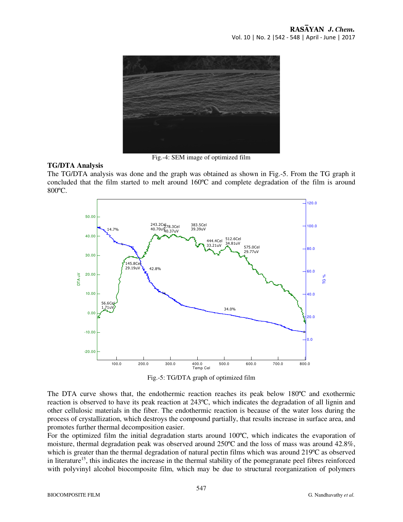

Fig.-4: SEM image of optimized film

#### **TG/DTA Analysis**

The TG/DTA analysis was done and the graph was obtained as shown in Fig.-5. From the TG graph it concluded that the film started to melt around 160ºC and complete degradation of the film is around 800ºC.



Fig.-5: TG/DTA graph of optimized film

The DTA curve shows that, the endothermic reaction reaches its peak below 180ºC and exothermic reaction is observed to have its peak reaction at 243ºC, which indicates the degradation of all lignin and other cellulosic materials in the fiber. The endothermic reaction is because of the water loss during the process of crystallization, which destroys the compound partially, that results increase in surface area, and promotes further thermal decomposition easier.

For the optimized film the initial degradation starts around 100ºC, which indicates the evaporation of moisture, thermal degradation peak was observed around 250ºC and the loss of mass was around 42.8%, which is greater than the thermal degradation of natural pectin films which was around 219ºC as observed in literature<sup>15</sup>, this indicates the increase in the thermal stability of the pomegranate peel fibres reinforced with polyvinyl alcohol biocomposite film, which may be due to structural reorganization of polymers